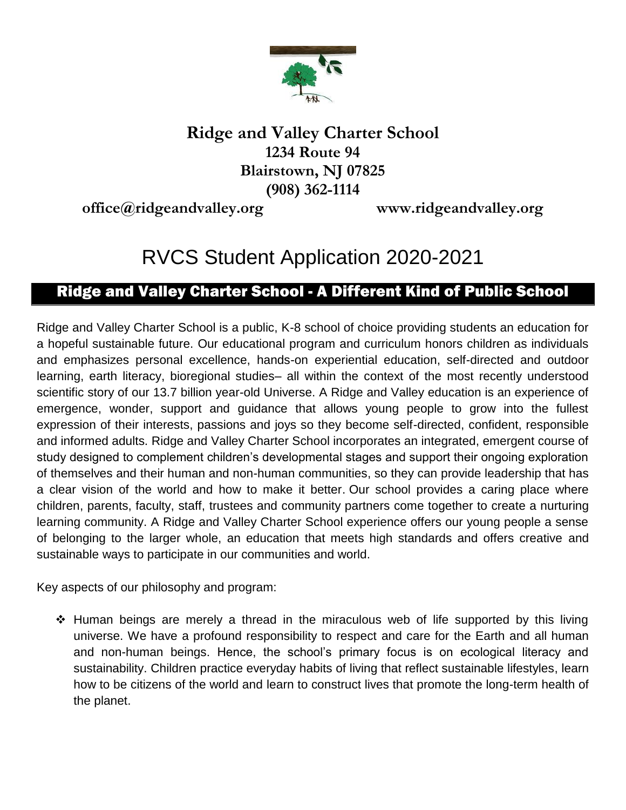

## **Ridge and Valley Charter School 1234 Route 94 Blairstown, NJ 07825 (908) 362-1114**

**[office@ridgeandvalley.org](mailto:office@ridgeandvalley.org) [www.ridgeandvalley.org](http://www.ridgeandvalley.org/)**

# RVCS Student Application 2020-2021

## Ridge and Valley Charter School - A Different Kind of Public School

Ridge and Valley Charter School is a public, K-8 school of choice providing students an education for a hopeful sustainable future. Our educational program and curriculum honors children as individuals and emphasizes personal excellence, hands-on experiential education, self-directed and outdoor learning, earth literacy, bioregional studies– all within the context of the most recently understood scientific story of our 13.7 billion year-old Universe. A Ridge and Valley education is an experience of emergence, wonder, support and guidance that allows young people to grow into the fullest expression of their interests, passions and joys so they become self-directed, confident, responsible and informed adults. Ridge and Valley Charter School incorporates an integrated, emergent course of study designed to complement children's developmental stages and support their ongoing exploration of themselves and their human and non-human communities, so they can provide leadership that has a clear vision of the world and how to make it better. Our school provides a caring place where children, parents, faculty, staff, trustees and community partners come together to create a nurturing learning community. A Ridge and Valley Charter School experience offers our young people a sense of belonging to the larger whole, an education that meets high standards and offers creative and sustainable ways to participate in our communities and world.

Key aspects of our philosophy and program:

 $\div$  Human beings are merely a thread in the miraculous web of life supported by this living universe. We have a profound responsibility to respect and care for the Earth and all human and non-human beings. Hence, the school's primary focus is on ecological literacy and sustainability. Children practice everyday habits of living that reflect sustainable lifestyles, learn how to be citizens of the world and learn to construct lives that promote the long-term health of the planet.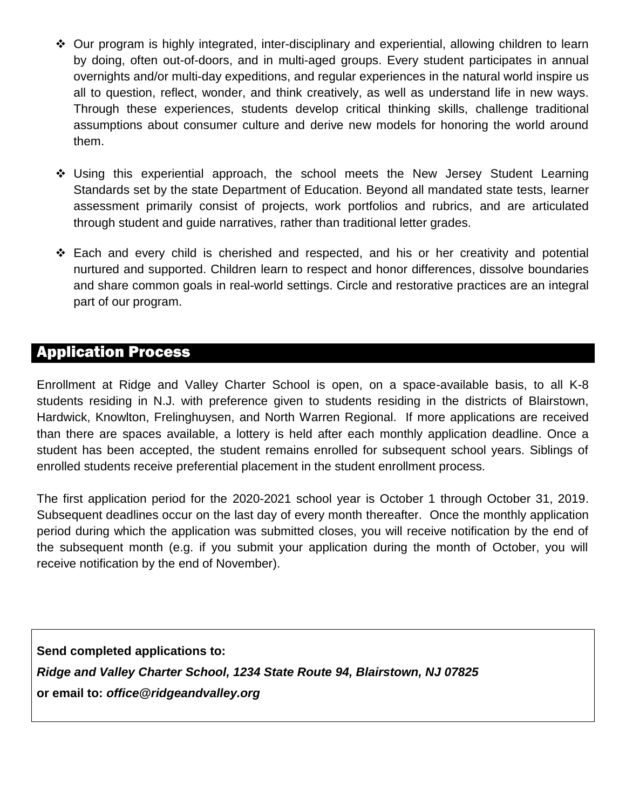- Our program is highly integrated, inter-disciplinary and experiential, allowing children to learn by doing, often out-of-doors, and in multi-aged groups. Every student participates in annual overnights and/or multi-day expeditions, and regular experiences in the natural world inspire us all to question, reflect, wonder, and think creatively, as well as understand life in new ways. Through these experiences, students develop critical thinking skills, challenge traditional assumptions about consumer culture and derive new models for honoring the world around them.
- Using this experiential approach, the school meets the New Jersey Student Learning Standards set by the state Department of Education. Beyond all mandated state tests, learner assessment primarily consist of projects, work portfolios and rubrics, and are articulated through student and guide narratives, rather than traditional letter grades.
- Each and every child is cherished and respected, and his or her creativity and potential nurtured and supported. Children learn to respect and honor differences, dissolve boundaries and share common goals in real-world settings. Circle and restorative practices are an integral part of our program.

### Application Process

Enrollment at Ridge and Valley Charter School is open, on a space-available basis, to all K-8 students residing in N.J. with preference given to students residing in the districts of Blairstown, Hardwick, Knowlton, Frelinghuysen, and North Warren Regional. If more applications are received than there are spaces available, a lottery is held after each monthly application deadline. Once a student has been accepted, the student remains enrolled for subsequent school years. Siblings of enrolled students receive preferential placement in the student enrollment process.

The first application period for the 2020-2021 school year is October 1 through October 31, 2019. Subsequent deadlines occur on the last day of every month thereafter. Once the monthly application period during which the application was submitted closes, you will receive notification by the end of the subsequent month (e.g. if you submit your application during the month of October, you will receive notification by the end of November).

**Send completed applications to:** *Ridge and Valley Charter School, 1234 State Route 94, Blairstown, NJ 07825* **or email to:** *office@ridgeandvalley.org*